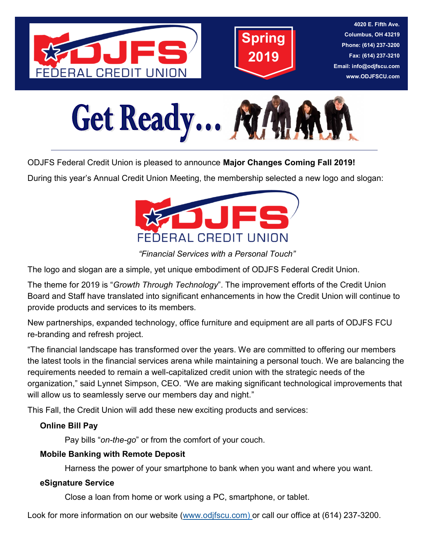



**4020 E. Fifth Ave. Columbus, OH 43219 Phone: (614) 237-3200 Fax: (614) 237-3210 Email: info@odjfscu.com www.ODJFSCU.com**



ODJFS Federal Credit Union is pleased to announce **Major Changes Coming Fall 2019!**

During this year's Annual Credit Union Meeting, the membership selected a new logo and slogan:



*"Financial Services with a Personal Touch"*

The logo and slogan are a simple, yet unique embodiment of ODJFS Federal Credit Union.

The theme for 2019 is "*Growth Through Technology*". The improvement efforts of the Credit Union Board and Staff have translated into significant enhancements in how the Credit Union will continue to provide products and services to its members.

New partnerships, expanded technology, office furniture and equipment are all parts of ODJFS FCU re-branding and refresh project.

"The financial landscape has transformed over the years. We are committed to offering our members the latest tools in the financial services arena while maintaining a personal touch*.* We are balancing the requirements needed to remain a well-capitalized credit union with the strategic needs of the organization," said Lynnet Simpson, CEO. "We are making significant technological improvements that will allow us to seamlessly serve our members day and night."

This Fall, the Credit Union will add these new exciting products and services:

## **Online Bill Pay**

Pay bills "*on-the-go*" or from the comfort of your couch.

## **Mobile Banking with Remote Deposit**

Harness the power of your smartphone to bank when you want and where you want.

### **eSignature Service**

Close a loan from home or work using a PC, smartphone, or tablet.

Look for more information on our website [\(www.odjfscu.com\)](http://www.odjfscu.com/) or call our office at (614) 237-3200.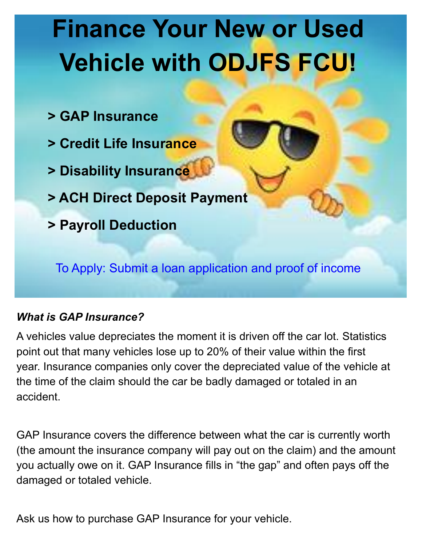# **Finance Your New or Used Vehicle with ODJFS FCU!**

- **> GAP Insurance**
- **> Credit Life Insurance**
- **> Disability Insurance**
- **> ACH Direct Deposit Payment**
- **> Payroll Deduction**

To Apply: Submit a loan application and proof of income

# *What is GAP Insurance?*

A vehicles value depreciates the moment it is driven off the car lot. Statistics point out that many vehicles lose up to 20% of their value within the first year. Insurance companies only cover the depreciated value of the vehicle at the time of the claim should the car be badly damaged or totaled in an accident.

GAP Insurance covers the difference between what the car is currently worth (the amount the insurance company will pay out on the claim) and the amount you actually owe on it. GAP Insurance fills in "the gap" and often pays off the damaged or totaled vehicle.

Ask us how to purchase GAP Insurance for your vehicle.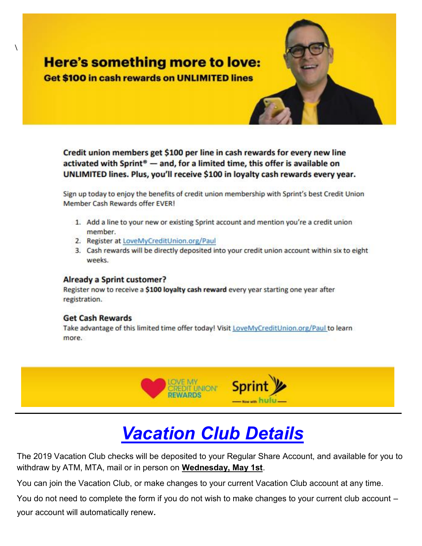# **Here's something more to love:**

**Get \$100 in cash rewards on UNLIMITED lines** 

Credit union members get \$100 per line in cash rewards for every new line activated with Sprint® - and, for a limited time, this offer is available on UNLIMITED lines. Plus, you'll receive \$100 in loyalty cash rewards every year.

Sign up today to enjoy the benefits of credit union membership with Sprint's best Credit Union Member Cash Rewards offer EVER!

- 1. Add a line to your new or existing Sprint account and mention you're a credit union member.
- 2. Register at LoveMyCreditUnion.org/Paul
- 3. Cash rewards will be directly deposited into your credit union account within six to eight weeks.

#### **Already a Sprint customer?**

Register now to receive a \$100 loyalty cash reward every year starting one year after registration.

#### **Get Cash Rewards**

\

Take advantage of this limited time offer today! Visit LoveMyCreditUnion.org/Paul to learn more.



# *Vacation Club Details*

The 2019 Vacation Club checks will be deposited to your Regular Share Account, and available for you to withdraw by ATM, MTA, mail or in person on **Wednesday, May 1st**.

You can join the Vacation Club, or make changes to your current Vacation Club account at any time.

You do not need to complete the form if you do not wish to make changes to your current club account *–* your account will automatically renew*.*